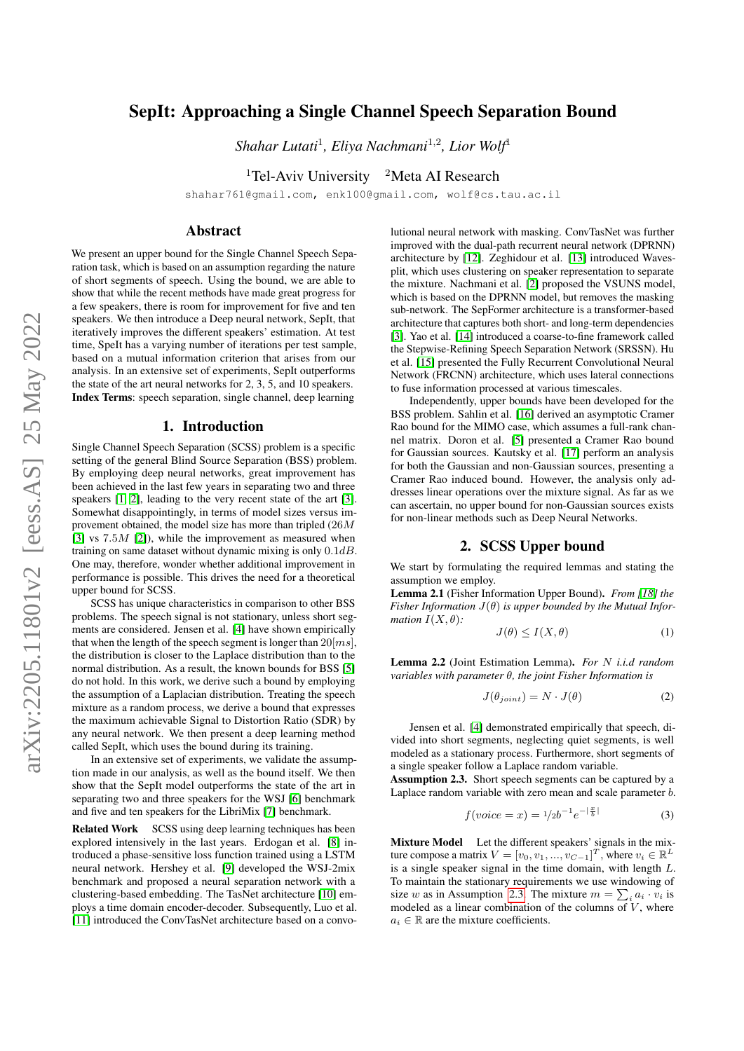# SepIt: Approaching a Single Channel Speech Separation Bound

*Shahar Lutati*<sup>1</sup> *, Eliya Nachmani*<sup>1</sup>,<sup>2</sup> *, Lior Wolf*<sup>1</sup>

<sup>1</sup>Tel-Aviv University <sup>2</sup>Meta AI Research

shahar761@gmail.com, enk100@gmail.com, wolf@cs.tau.ac.il

### Abstract

We present an upper bound for the Single Channel Speech Separation task, which is based on an assumption regarding the nature of short segments of speech. Using the bound, we are able to show that while the recent methods have made great progress for a few speakers, there is room for improvement for five and ten speakers. We then introduce a Deep neural network, SepIt, that iteratively improves the different speakers' estimation. At test time, SpeIt has a varying number of iterations per test sample, based on a mutual information criterion that arises from our analysis. In an extensive set of experiments, SepIt outperforms the state of the art neural networks for 2, 3, 5, and 10 speakers. Index Terms: speech separation, single channel, deep learning

#### 1. Introduction

Single Channel Speech Separation (SCSS) problem is a specific setting of the general Blind Source Separation (BSS) problem. By employing deep neural networks, great improvement has been achieved in the last few years in separating two and three speakers [\[1,](#page-4-0) [2\]](#page-4-1), leading to the very recent state of the art [\[3\]](#page-4-2). Somewhat disappointingly, in terms of model sizes versus improvement obtained, the model size has more than tripled (26M [\[3\]](#page-4-2) vs  $7.5M$  [\[2\]](#page-4-1)), while the improvement as measured when training on same dataset without dynamic mixing is only  $0.1dB$ . One may, therefore, wonder whether additional improvement in performance is possible. This drives the need for a theoretical upper bound for SCSS.

SCSS has unique characteristics in comparison to other BSS problems. The speech signal is not stationary, unless short segments are considered. Jensen et al. [\[4\]](#page-4-3) have shown empirically that when the length of the speech segment is longer than  $20$ [ $ms$ ], the distribution is closer to the Laplace distribution than to the normal distribution. As a result, the known bounds for BSS [\[5\]](#page-4-4) do not hold. In this work, we derive such a bound by employing the assumption of a Laplacian distribution. Treating the speech mixture as a random process, we derive a bound that expresses the maximum achievable Signal to Distortion Ratio (SDR) by any neural network. We then present a deep learning method called SepIt, which uses the bound during its training.

In an extensive set of experiments, we validate the assumption made in our analysis, as well as the bound itself. We then show that the SepIt model outperforms the state of the art in separating two and three speakers for the WSJ [\[6\]](#page-4-5) benchmark and five and ten speakers for the LibriMix [\[7\]](#page-4-6) benchmark.

Related Work SCSS using deep learning techniques has been explored intensively in the last years. Erdogan et al. [\[8\]](#page-4-7) introduced a phase-sensitive loss function trained using a LSTM neural network. Hershey et al. [\[9\]](#page-4-8) developed the WSJ-2mix benchmark and proposed a neural separation network with a clustering-based embedding. The TasNet architecture [\[10\]](#page-4-9) employs a time domain encoder-decoder. Subsequently, Luo et al. [\[11\]](#page-4-10) introduced the ConvTasNet architecture based on a convo-

lutional neural network with masking. ConvTasNet was further improved with the dual-path recurrent neural network (DPRNN) architecture by [\[12\]](#page-4-11). Zeghidour et al. [\[13\]](#page-4-12) introduced Wavesplit, which uses clustering on speaker representation to separate the mixture. Nachmani et al. [\[2\]](#page-4-1) proposed the VSUNS model, which is based on the DPRNN model, but removes the masking sub-network. The SepFormer architecture is a transformer-based architecture that captures both short- and long-term dependencies [\[3\]](#page-4-2). Yao et al. [\[14\]](#page-4-13) introduced a coarse-to-fine framework called the Stepwise-Refining Speech Separation Network (SRSSN). Hu et al. [\[15\]](#page-4-14) presented the Fully Recurrent Convolutional Neural Network (FRCNN) architecture, which uses lateral connections to fuse information processed at various timescales.

Independently, upper bounds have been developed for the BSS problem. Sahlin et al. [\[16\]](#page-4-15) derived an asymptotic Cramer Rao bound for the MIMO case, which assumes a full-rank channel matrix. Doron et al. [\[5\]](#page-4-4) presented a Cramer Rao bound for Gaussian sources. Kautsky et al. [\[17\]](#page-4-16) perform an analysis for both the Gaussian and non-Gaussian sources, presenting a Cramer Rao induced bound. However, the analysis only addresses linear operations over the mixture signal. As far as we can ascertain, no upper bound for non-Gaussian sources exists for non-linear methods such as Deep Neural Networks.

## 2. SCSS Upper bound

<span id="page-0-3"></span>We start by formulating the required lemmas and stating the assumption we employ.

Lemma 2.1 (Fisher Information Upper Bound). *From [\[18\]](#page-4-17) the Fisher Information* J(θ) *is upper bounded by the Mutual Information*  $I(X, \theta)$ *:* 

<span id="page-0-2"></span>
$$
J(\theta) \le I(X, \theta) \tag{1}
$$

Lemma 2.2 (Joint Estimation Lemma). *For* N *i.i.d random variables with parameter* θ*, the joint Fisher Information is*

<span id="page-0-1"></span>
$$
J(\theta_{joint}) = N \cdot J(\theta) \tag{2}
$$

Jensen et al. [\[4\]](#page-4-3) demonstrated empirically that speech, divided into short segments, neglecting quiet segments, is well modeled as a stationary process. Furthermore, short segments of a single speaker follow a Laplace random variable.

Assumption 2.3. Short speech segments can be captured by a Laplace random variable with zero mean and scale parameter b.

<span id="page-0-0"></span>
$$
f(voice = x) = \frac{1}{2}b^{-1}e^{-\left|\frac{x}{b}\right|}
$$
 (3)

Mixture Model Let the different speakers' signals in the mixture compose a matrix  $V = [v_0, v_1, ..., v_{C-1}]^T$ , where  $v_i \in \mathbb{R}^L$ is a single speaker signal in the time domain, with length  $L$ . To maintain the stationary requirements we use windowing of size w as in Assumption [2.3.](#page-0-0) The mixture  $m = \sum_i a_i \cdot v_i$  is modeled as a linear combination of the columns of  $V$ , where  $a_i \in \mathbb{R}$  are the mixture coefficients.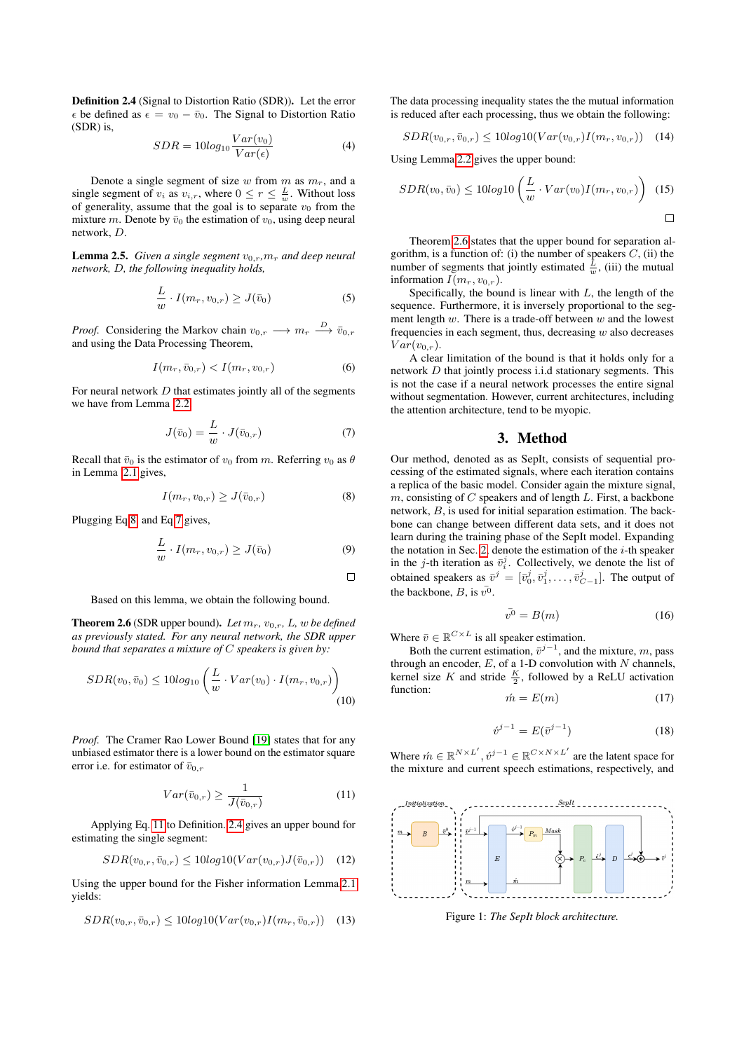Definition 2.4 (Signal to Distortion Ratio (SDR)). Let the error  $\epsilon$  be defined as  $\epsilon = v_0 - \bar{v}_0$ . The Signal to Distortion Ratio (SDR) is,

<span id="page-1-3"></span>
$$
SDR = 10log_{10} \frac{Var(v_0)}{Var(\epsilon)}
$$
\n<sup>(4)</sup>

Denote a single segment of size w from m as  $m_r$ , and a single segment of  $v_i$  as  $v_{i,r}$ , where  $0 \le r \le \frac{L}{w}$ . Without loss of generality, assume that the goal is to separate  $v_0$  from the mixture m. Denote by  $\bar{v}_0$  the estimation of  $v_0$ , using deep neural network, D.

**Lemma 2.5.** *Given a single segment*  $v_0$ <sub>r</sub>, $m_r$  *and deep neural network,* D*, the following inequality holds,*

$$
\frac{L}{w} \cdot I(m_r, v_{0,r}) \ge J(\bar{v}_0)
$$
\n(5)

*Proof.* Considering the Markov chain  $v_{0,r} \longrightarrow m_r \stackrel{D}{\longrightarrow} \overline{v}_{0,r}$ and using the Data Processing Theorem,

$$
I(m_r, \bar{v}_{0,r}) < I(m_r, v_{0,r}) \tag{6}
$$

For neural network  $D$  that estimates jointly all of the segments we have from Lemma [2.2,](#page-0-1)

<span id="page-1-1"></span>
$$
J(\bar{v}_0) = \frac{L}{w} \cdot J(\bar{v}_{0,r}) \tag{7}
$$

Recall that  $\bar{v}_0$  is the estimator of  $v_0$  from m. Referring  $v_0$  as  $\theta$ in Lemma [2.1](#page-0-2) gives,

<span id="page-1-0"></span>
$$
I(m_r, v_{0,r}) \ge J(\bar{v}_{0,r})
$$
\n
$$
(8)
$$

Plugging Eq[.8,](#page-1-0) and Eq[.7](#page-1-1) gives,

$$
\frac{L}{w} \cdot I(m_r, v_{0,r}) \ge J(\bar{v}_0)
$$
\n(9)

$$
\Box
$$

Based on this lemma, we obtain the following bound.

**Theorem 2.6** (SDR upper bound). Let  $m_r$ ,  $v_{0,r}$ , L, w be defined *as previously stated. For any neural network, the SDR upper bound that separates a mixture of* C *speakers is given by:*

$$
SDR(v_0, \bar{v}_0) \le 10 log_{10} \left( \frac{L}{w} \cdot Var(v_0) \cdot I(m_r, v_{0,r}) \right)
$$
\n
$$
(10)
$$

*Proof.* The Cramer Rao Lower Bound [\[19\]](#page-4-18) states that for any unbiased estimator there is a lower bound on the estimator square error i.e. for estimator of  $\bar{v}_{0,r}$ 

<span id="page-1-2"></span>
$$
Var(\bar{v}_{0,r}) \ge \frac{1}{J(\bar{v}_{0,r})}
$$
\n(11)

Applying Eq. [11](#page-1-2) to Definition. [2.4](#page-1-3) gives an upper bound for estimating the single segment:

$$
SDR(v_{0,r}, \bar{v}_{0,r}) \le 10log 10(Var(v_{0,r})J(\bar{v}_{0,r})) \quad (12)
$$

Using the upper bound for the Fisher information Lemma[.2.1](#page-0-2) yields:

$$
SDR(v_{0,r}, \bar{v}_{0,r}) \le 10log 10(Var(v_{0,r})I(m_r, \bar{v}_{0,r})) \quad (13)
$$

The data processing inequality states the the mutual information is reduced after each processing, thus we obtain the following:

$$
SDR(v_{0,r}, \bar{v}_{0,r}) \le 10\log 10(Var(v_{0,r})I(m_r, v_{0,r})) \quad (14)
$$

Using Lemma[.2.2](#page-0-1) gives the upper bound:

$$
SDR(v_0, \bar{v}_0) \le 10log10\left(\frac{L}{w} \cdot Var(v_0)I(m_r, v_{0,r})\right) (15)
$$

Theorem [2.6](#page-1-4) states that the upper bound for separation algorithm, is a function of: (i) the number of speakers  $C$ , (ii) the number of segments that jointly estimated  $\frac{L}{w}$ , (iii) the mutual information  $I(m_r, v_{0,r})$ .

Specifically, the bound is linear with  $L$ , the length of the sequence. Furthermore, it is inversely proportional to the segment length  $w$ . There is a trade-off between  $w$  and the lowest frequencies in each segment, thus, decreasing  $w$  also decreases  $Var(v_{0,r}).$ 

A clear limitation of the bound is that it holds only for a network D that jointly process i.i.d stationary segments. This is not the case if a neural network processes the entire signal without segmentation. However, current architectures, including the attention architecture, tend to be myopic.

#### 3. Method

Our method, denoted as as SepIt, consists of sequential processing of the estimated signals, where each iteration contains a replica of the basic model. Consider again the mixture signal,  $m$ , consisting of  $C$  speakers and of length  $L$ . First, a backbone network, B, is used for initial separation estimation. The backbone can change between different data sets, and it does not learn during the training phase of the SepIt model. Expanding the notation in Sec. [2,](#page-0-3) denote the estimation of the  $i$ -th speaker in the *j*-th iteration as  $\bar{v}_i^j$ . Collectively, we denote the list of obtained speakers as  $\bar{v}^j = [\bar{v}_0^j, \bar{v}_1^j, \dots, \bar{v}_{C-1}^j]$ . The output of the backbone, B, is  $v^0$ .

$$
\bar{v^0} = B(m) \tag{16}
$$

Where  $\bar{v} \in \mathbb{R}^{C \times L}$  is all speaker estimation.

<span id="page-1-4"></span>Both the current estimation,  $\bar{v}^{j-1}$ , and the mixture, m, pass through an encoder,  $E$ , of a 1-D convolution with  $N$  channels, kernel size K and stride  $\frac{K}{2}$ , followed by a ReLU activation function:

$$
\acute{m} = E(m) \tag{17}
$$

$$
\acute{v}^{j-1} = E(\bar{v}^{j-1})
$$
 (18)

Where  $\hat{m} \in \mathbb{R}^{N \times L'}$ ,  $\hat{v}^{j-1} \in \mathbb{R}^{C \times N \times L'}$  are the latent space for the mixture and current speech estimations, respectively, and

<span id="page-1-5"></span>

Figure 1: *The SepIt block architecture.*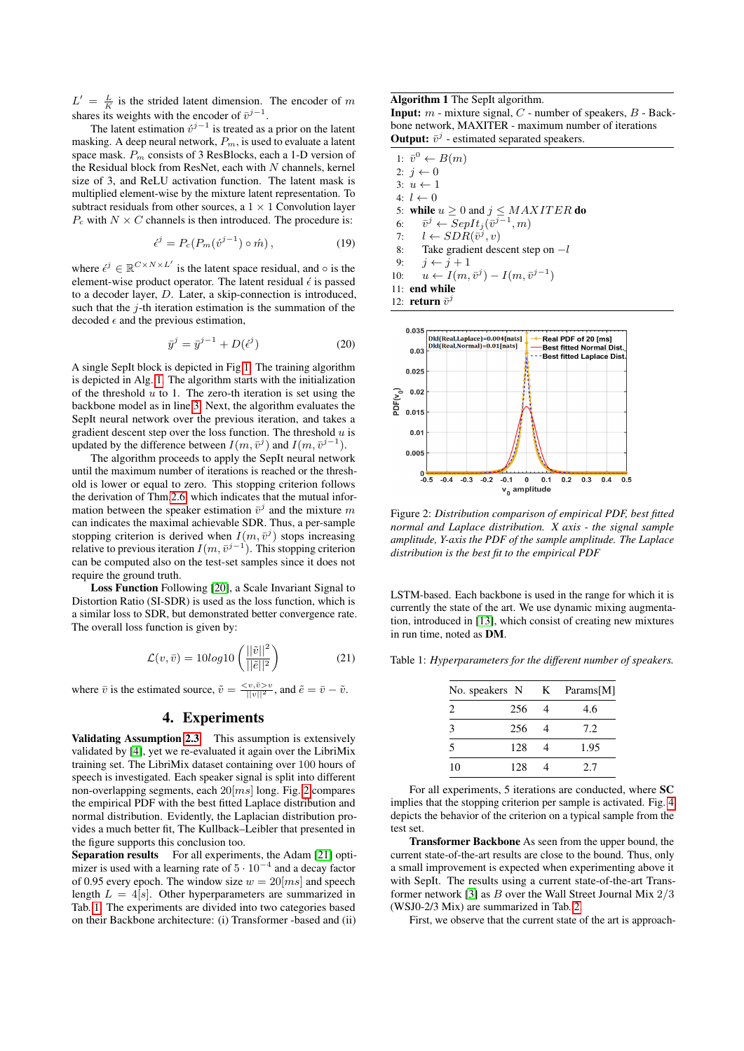$L' = \frac{L}{K}$  is the strided latent dimension. The encoder of m shares its weights with the encoder of  $\bar{v}^{j-1}$ .

The latent estimation  $\dot{v}^{j-1}$  is treated as a prior on the latent masking. A deep neural network,  $P_m$ , is used to evaluate a latent space mask.  $P_m$  consists of 3 ResBlocks, each a 1-D version of the Residual block from ResNet, each with  $N$  channels, kernel size of 3, and ReLU activation function. The latent mask is multiplied element-wise by the mixture latent representation. To subtract residuals from other sources, a  $1 \times 1$  Convolution layer  $P_c$  with  $N \times C$  channels is then introduced. The procedure is:

$$
\acute{\epsilon}^{j} = P_c(P_m(\acute{v}^{j-1}) \circ \acute{m}), \qquad (19)
$$

where  $\epsilon^j \in \mathbb{R}^{C \times N \times L'}$  is the latent space residual, and  $\circ$  is the element-wise product operator. The latent residual  $\epsilon$  is passed to a decoder layer, D. Later, a skip-connection is introduced, such that the  $j$ -th iteration estimation is the summation of the decoded  $\epsilon$  and the previous estimation,

$$
\bar{y}^j = \bar{y}^{j-1} + D(\epsilon^j)
$$
 (20)

A single SepIt block is depicted in Fig [1.](#page-1-5) The training algorithm is depicted in Alg. [1.](#page-2-0) The algorithm starts with the initialization of the threshold  $u$  to 1. The zero-th iteration is set using the backbone model as in line [3.](#page-2-1) Next, the algorithm evaluates the SepIt neural network over the previous iteration, and takes a gradient descent step over the loss function. The threshold  $u$  is updated by the difference between  $I(m, \bar{v}^j)$  and  $I(m, \bar{v}^{j-1})$ .

The algorithm proceeds to apply the SepIt neural network until the maximum number of iterations is reached or the threshold is lower or equal to zero. This stopping criterion follows the derivation of Thm[.2.6,](#page-1-4) which indicates that the mutual information between the speaker estimation  $\bar{v}^j$  and the mixture m can indicates the maximal achievable SDR. Thus, a per-sample stopping criterion is derived when  $I(m, \bar{v}^j)$  stops increasing relative to previous iteration  $I(m, \bar{v}^{j-1})$ . This stopping criterion can be computed also on the test-set samples since it does not require the ground truth.

Loss Function Following [\[20\]](#page-4-19), a Scale Invariant Signal to Distortion Ratio (SI-SDR) is used as the loss function, which is a similar loss to SDR, but demonstrated better convergence rate. The overall loss function is given by:

$$
\mathcal{L}(v,\bar{v}) = 10\log 10 \left( \frac{||\tilde{v}||^2}{||\tilde{e}||^2} \right) \tag{21}
$$

where  $\bar{v}$  is the estimated source,  $\tilde{v} = \frac{\langle v, \bar{v} \rangle v}{||v||^2}$ , and  $\tilde{e} = \bar{v} - \tilde{v}$ .

#### 4. Experiments

Validating Assumption [2.3](#page-0-0) This assumption is extensively validated by [\[4\]](#page-4-3), yet we re-evaluated it again over the LibriMix training set. The LibriMix dataset containing over 100 hours of speech is investigated. Each speaker signal is split into different non-overlapping segments, each  $20$ [ $ms$ ] long. Fig. [2](#page-2-2) compares the empirical PDF with the best fitted Laplace distribution and normal distribution. Evidently, the Laplacian distribution provides a much better fit, The Kullback–Leibler that presented in the figure supports this conclusion too.

Separation results For all experiments, the Adam [\[21\]](#page-4-20) optimizer is used with a learning rate of  $5 \cdot 10^{-4}$  and a decay factor of 0.95 every epoch. The window size  $w = 20$ [ms] and speech length  $L = 4[s]$ . Other hyperparameters are summarized in Tab. [1.](#page-2-3) The experiments are divided into two categories based on their Backbone architecture: (i) Transformer -based and (ii)

<span id="page-2-0"></span>Algorithm 1 The SepIt algorithm. **Input:**  $m$  - mixture signal,  $C$  - number of speakers,  $B$  - Backbone network, MAXITER - maximum number of iterations **Output:**  $\bar{v}^j$  - estimated separated speakers.

<span id="page-2-1"></span>

| 1: $\bar{v}^0 \leftarrow B(m)$                           |
|----------------------------------------------------------|
| 2: $i \leftarrow 0$                                      |
| $3: u \leftarrow 1$                                      |
| $4: l \leftarrow 0$                                      |
| 5: while $u \ge 0$ and $j \le MAXITER$ do                |
| 6: $\bar{v}^j \leftarrow SepIt_j(\bar{v}^{j-1},m)$       |
| 7: $l \leftarrow SDR(\bar{v}^j, v)$                      |
| 8: Take gradient descent step on $-l$                    |
| 9: $i \leftarrow i+1$                                    |
| 10: $u \leftarrow I(m, \bar{v}^j) - I(m, \bar{v}^{j-1})$ |
| $11:$ end while                                          |
| 12: return $\bar{v}^j$                                   |

<span id="page-2-2"></span>

Figure 2: *Distribution comparison of empirical PDF, best fitted normal and Laplace distribution. X axis - the signal sample amplitude, Y-axis the PDF of the sample amplitude. The Laplace distribution is the best fit to the empirical PDF*

LSTM-based. Each backbone is used in the range for which it is currently the state of the art. We use dynamic mixing augmentation, introduced in [\[13\]](#page-4-12), which consist of creating new mixtures in run time, noted as DM.

<span id="page-2-3"></span>Table 1: *Hyperparameters for the different number of speakers.*

|                               | No. speakers N | K | Params[M] |
|-------------------------------|----------------|---|-----------|
| $\mathfrak{D}_{\mathfrak{p}}$ | 256            |   | 4.6       |
| 3                             | 256            | 4 | 7.2       |
| 5                             | 128            |   | 1.95      |
| 10                            | 128            |   | 2.7       |

For all experiments, 5 iterations are conducted, where SC implies that the stopping criterion per sample is activated. Fig. [4](#page-3-0) depicts the behavior of the criterion on a typical sample from the test set.

Transformer Backbone As seen from the upper bound, the current state-of-the-art results are close to the bound. Thus, only a small improvement is expected when experimenting above it with SepIt. The results using a current state-of-the-art Trans-former network [\[3\]](#page-4-2) as  $B$  over the Wall Street Journal Mix  $2/3$ (WSJ0-2/3 Mix) are summarized in Tab. [2.](#page-3-1)

First, we observe that the current state of the art is approach-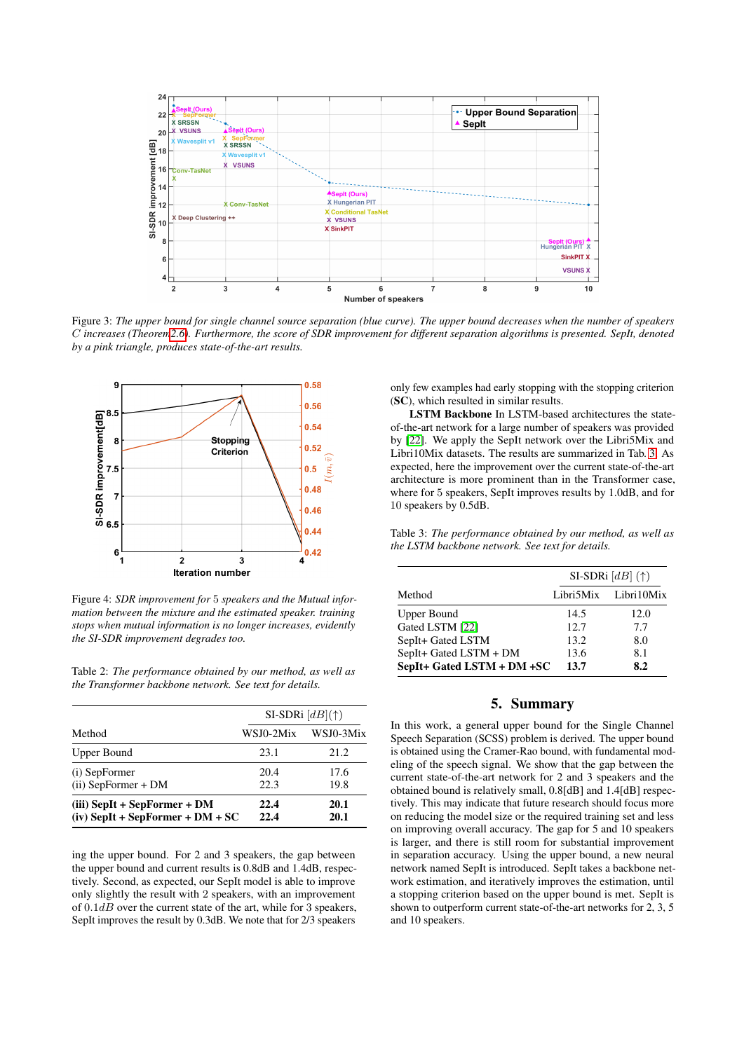

Figure 3: *The upper bound for single channel source separation (blue curve). The upper bound decreases when the number of speakers* C *increases (Theore[m2.6\)](#page-1-4). Furthermore, the score of SDR improvement for different separation algorithms is presented. SepIt, denoted by a pink triangle, produces state-of-the-art results.*

<span id="page-3-0"></span>

Figure 4: *SDR improvement for* 5 *speakers and the Mutual information between the mixture and the estimated speaker. training stops when mutual information is no longer increases, evidently the SI-SDR improvement degrades too.*

<span id="page-3-1"></span>Table 2: *The performance obtained by our method, as well as the Transformer backbone network. See text for details.*

|                                                                      |              | SI-SDRi $[dB](\uparrow)$ |  |
|----------------------------------------------------------------------|--------------|--------------------------|--|
| Method                                                               | WSJ0-2Mix    | WSJ0-3Mix                |  |
| Upper Bound                                                          | 23.1         | 21.2                     |  |
| (i) SepFormer<br>$(ii)$ SepFormer + DM                               | 20.4<br>22.3 | 17.6<br>19.8             |  |
| $(iii)$ SepIt + SepFormer + DM<br>$(iv)$ SepIt + SepFormer + DM + SC | 22.4<br>22.4 | 20.1<br>20.1             |  |

ing the upper bound. For 2 and 3 speakers, the gap between the upper bound and current results is 0.8dB and 1.4dB, respectively. Second, as expected, our SepIt model is able to improve only slightly the result with 2 speakers, with an improvement of  $0.1dB$  over the current state of the art, while for 3 speakers, SepIt improves the result by 0.3dB. We note that for 2/3 speakers

only few examples had early stopping with the stopping criterion (SC), which resulted in similar results.

LSTM Backbone In LSTM-based architectures the stateof-the-art network for a large number of speakers was provided by [\[22\]](#page-4-21). We apply the SepIt network over the Libri5Mix and Libri10Mix datasets. The results are summarized in Tab. [3.](#page-3-2) As expected, here the improvement over the current state-of-the-art architecture is more prominent than in the Transformer case, where for 5 speakers, SepIt improves results by 1.0dB, and for 10 speakers by 0.5dB.

<span id="page-3-2"></span>Table 3: *The performance obtained by our method, as well as the LSTM backbone network. See text for details.*

|                            | SI-SDRi $[dB]$ (†) |                      |  |
|----------------------------|--------------------|----------------------|--|
| Method                     |                    | Libri5Mix Libri10Mix |  |
| <b>Upper Bound</b>         | 14.5               | 12.0                 |  |
| Gated LSTM [22]            | 12.7               | 7.7                  |  |
| SepIt+ Gated LSTM          | 13.2               | 8.0                  |  |
| SepIt+ Gated LSTM + DM     | 13.6               | 8.1                  |  |
| SepIt+ Gated LSTM + DM +SC | 13.7               | 8.2                  |  |

## 5. Summary

In this work, a general upper bound for the Single Channel Speech Separation (SCSS) problem is derived. The upper bound is obtained using the Cramer-Rao bound, with fundamental modeling of the speech signal. We show that the gap between the current state-of-the-art network for 2 and 3 speakers and the obtained bound is relatively small, 0.8[dB] and 1.4[dB] respectively. This may indicate that future research should focus more on reducing the model size or the required training set and less on improving overall accuracy. The gap for 5 and 10 speakers is larger, and there is still room for substantial improvement in separation accuracy. Using the upper bound, a new neural network named SepIt is introduced. SepIt takes a backbone network estimation, and iteratively improves the estimation, until a stopping criterion based on the upper bound is met. SepIt is shown to outperform current state-of-the-art networks for 2, 3, 5 and 10 speakers.